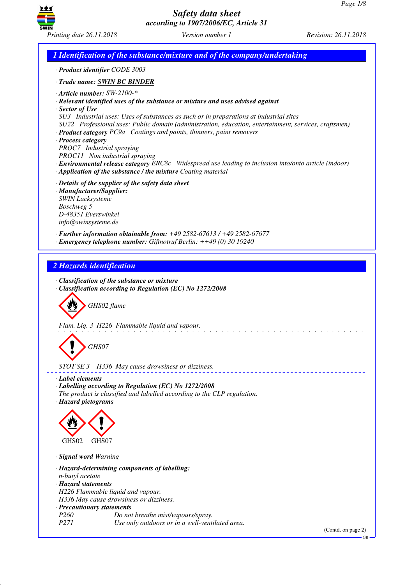

*Printing date 26.11.2018 Version number 1 Revision: 26.11.2018*

*1 Identification of the substance/mixture and of the company/undertaking · Product identifier CODE 3003 · Trade name: SWIN BC BINDER · Article number: SW-2100-\* · Relevant identified uses of the substance or mixture and uses advised against · Sector of Use SU3 Industrial uses: Uses of substances as such or in preparations at industrial sites SU22 Professional uses: Public domain (administration, education, entertainment, services, craftsmen) · Product category PC9a Coatings and paints, thinners, paint removers · Process category PROC7 Industrial spraying PROC11 Non industrial spraying · Environmental release category ERC8c Widespread use leading to inclusion into/onto article (indoor) · Application of the substance / the mixture Coating material · Details of the supplier of the safety data sheet · Manufacturer/Supplier: SWIN Lacksysteme Boschweg 5 D-48351 Everswinkel info@swinsysteme.de · Further information obtainable from: +49 2582-67613 / +49 2582-67677 · Emergency telephone number: Giftnotruf Berlin: ++49 (0) 30 19240 2 Hazards identification · Classification of the substance or mixture · Classification according to Regulation (EC) No 1272/2008* d~*GHS02 flame Flam. Liq. 3 H226 Flammable liquid and vapour.* d~*GHS07 STOT SE 3 H336 May cause drowsiness or dizziness. · Label elements · Labelling according to Regulation (EC) No 1272/2008 The product is classified and labelled according to the CLP regulation. · Hazard pictograms* < GHS02  $\langle \cdot \rangle$ GHS07 *· Signal word Warning · Hazard-determining components of labelling: n-butyl acetate · Hazard statements H226 Flammable liquid and vapour. H336 May cause drowsiness or dizziness. · Precautionary statements Po not breathe mist/vapours/spray. P271 Use only outdoors or in a well-ventilated area.* (Contd. on page 2)

GB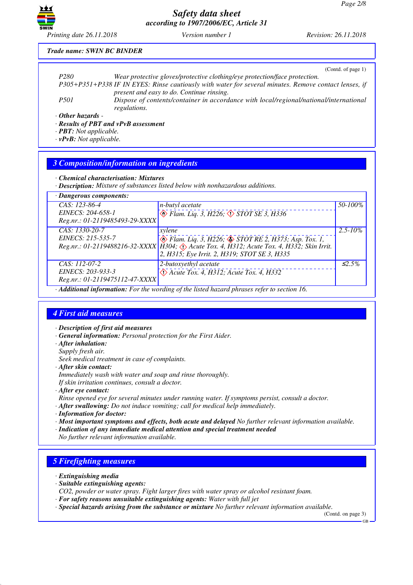

*Printing date 26.11.2018 Version number 1 Revision: 26.11.2018*

#### *Trade name: SWIN BC BINDER*

|                                                                             | (Contd. of page 1)                                                                                     |
|-----------------------------------------------------------------------------|--------------------------------------------------------------------------------------------------------|
| P <sub>280</sub>                                                            | Wear protective gloves/protective clothing/eye protection/face protection.                             |
|                                                                             | P305+P351+P338 IF IN EYES: Rinse cautiously with water for several minutes. Remove contact lenses, if  |
|                                                                             | present and easy to do. Continue rinsing.                                                              |
| <i>P501</i>                                                                 | Dispose of contents/container in accordance with local/regional/national/international<br>regulations. |
| $\cdot$ Other hazards -<br>$\sim$ $\sim$ $\sim$ $\sim$ $\sim$ $\sim$ $\sim$ |                                                                                                        |

*· Results of PBT and vPvB assessment*

*· PBT: Not applicable.*

*· vPvB: Not applicable.*

## *3 Composition/information on ingredients*

*· Chemical characterisation: Mixtures*

*· Description: Mixture of substances listed below with nonhazardous additions.*

| · Dangerous components:                                                                     |                                                                                              |              |  |  |
|---------------------------------------------------------------------------------------------|----------------------------------------------------------------------------------------------|--------------|--|--|
| CAS: 123-86-4                                                                               | n-butyl acetate                                                                              | 50-100%      |  |  |
| EINECS: 204-658-1                                                                           | $\otimes$ Flam. Liq. 3, H226, $\otimes$ STOT SE 3, H336                                      |              |  |  |
| Reg.nr.: 01-2119485493-29-XXXX                                                              |                                                                                              |              |  |  |
| CAS: 1330-20-7                                                                              | xylene                                                                                       | $2.5 - 10\%$ |  |  |
| EINECS: 215-535-7                                                                           | $\otimes$ Flam. Liq. 3, H226; $\otimes$ STOT RE 2, H373; Asp. Tox. 1,                        |              |  |  |
|                                                                                             | Reg.nr.: 01-2119488216-32-XXXX   H304; & Acute Tox. 4, H312; Acute Tox. 4, H332; Skin Irrit. |              |  |  |
|                                                                                             | 2, H315; Eye Irrit. 2, H319; STOT SE 3, H335                                                 |              |  |  |
| CAS: 112-07-2                                                                               | 2-butoxyethyl acetate                                                                        | $\leq 2.5\%$ |  |  |
| EINECS: 203-933-3                                                                           | $\Diamond$ Acute Tox. 4, H312; Acute Tox. 4, H332                                            |              |  |  |
| Reg.nr.: 01-2119475112-47-XXXX                                                              |                                                                                              |              |  |  |
| · Additional information: For the wording of the listed hazard phrases refer to section 16. |                                                                                              |              |  |  |

### *4 First aid measures*

*· Description of first aid measures*

*· General information: Personal protection for the First Aider.*

- *· After inhalation:*
- *Supply fresh air.*

*Seek medical treatment in case of complaints.*

- *· After skin contact:*
- *Immediately wash with water and soap and rinse thoroughly.*

*If skin irritation continues, consult a doctor.*

- *· After eye contact:*
- *Rinse opened eye for several minutes under running water. If symptoms persist, consult a doctor.*
- *· After swallowing: Do not induce vomiting; call for medical help immediately.*
- *· Information for doctor:*
- *· Most important symptoms and effects, both acute and delayed No further relevant information available.*
- *· Indication of any immediate medical attention and special treatment needed*

# *No further relevant information available.*

# *5 Firefighting measures*

- *· Extinguishing media*
- *· Suitable extinguishing agents:*

*CO2, powder or water spray. Fight larger fires with water spray or alcohol resistant foam.*

- *· For safety reasons unsuitable extinguishing agents: Water with full jet*
- *· Special hazards arising from the substance or mixture No further relevant information available.*

(Contd. on page 3)

GB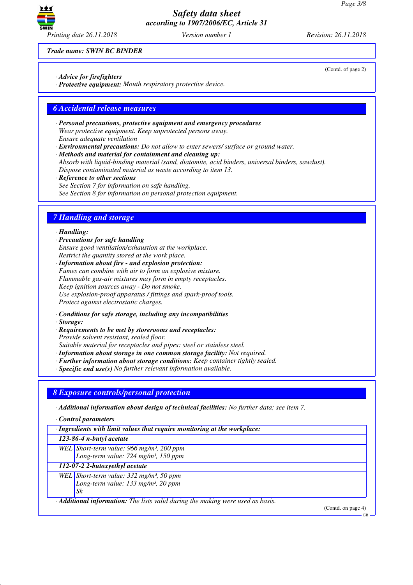

*Trade name: SWIN BC BINDER*

- *· Advice for firefighters*
- *· Protective equipment: Mouth respiratory protective device.*

## *6 Accidental release measures*

- *· Personal precautions, protective equipment and emergency procedures Wear protective equipment. Keep unprotected persons away. Ensure adequate ventilation*
- *· Environmental precautions: Do not allow to enter sewers/ surface or ground water.*

*· Methods and material for containment and cleaning up: Absorb with liquid-binding material (sand, diatomite, acid binders, universal binders, sawdust). Dispose contaminated material as waste according to item 13.*

*· Reference to other sections See Section 7 for information on safe handling. See Section 8 for information on personal protection equipment.*

# *7 Handling and storage*

#### *· Handling:*

*· Precautions for safe handling Ensure good ventilation/exhaustion at the workplace. Restrict the quantity stored at the work place.*

*· Information about fire - and explosion protection: Fumes can combine with air to form an explosive mixture. Flammable gas-air mixtures may form in empty receptacles. Keep ignition sources away - Do not smoke. Use explosion-proof apparatus / fittings and spark-proof tools. Protect against electrostatic charges.*

- *· Conditions for safe storage, including any incompatibilities*
- *· Storage:*
- *· Requirements to be met by storerooms and receptacles: Provide solvent resistant, sealed floor. Suitable material for receptacles and pipes: steel or stainless steel.*
- *· Information about storage in one common storage facility: Not required.*
- *· Further information about storage conditions: Keep container tightly sealed.*
- *· Specific end use(s) No further relevant information available.*

### *8 Exposure controls/personal protection*

*· Additional information about design of technical facilities: No further data; see item 7.*

*· Control parameters*

*· Ingredients with limit values that require monitoring at the workplace:*

*123-86-4 n-butyl acetate*

*WEL Short-term value: 966 mg/m³, 200 ppm Long-term value: 724 mg/m³, 150 ppm*

*112-07-2 2-butoxyethyl acetate*

*WEL Short-term value: 332 mg/m³, 50 ppm Long-term value: 133 mg/m³, 20 ppm Sk*

*· Additional information: The lists valid during the making were used as basis.*

(Contd. on page 4)

 $GR$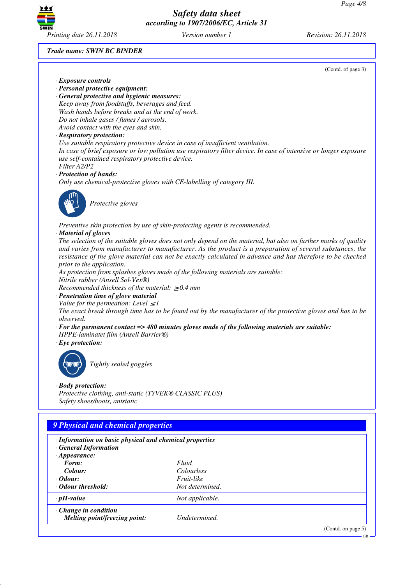

*Trade name: SWIN BC BINDER*

(Contd. of page 3)

- *· Exposure controls*
- *· Personal protective equipment:*
- *· General protective and hygienic measures: Keep away from foodstuffs, beverages and feed. Wash hands before breaks and at the end of work. Do not inhale gases / fumes / aerosols. Avoid contact with the eyes and skin.*

### *· Respiratory protection:*

*Use suitable respiratory protective device in case of insufficient ventilation.*

*In case of brief exposure or low pollution use respiratory filter device. In case of intensive or longer exposure use self-contained respiratory protective device.*

## *Filter A2/P2*

*· Protection of hands:*

*Only use chemical-protective gloves with CE-labelling of category III.*



\_S*Protective gloves*

*Preventive skin protection by use of skin-protecting agents is recommended.*

#### *· Material of gloves*

*The selection of the suitable gloves does not only depend on the material, but also on further marks of quality and varies from manufacturer to manufacturer. As the product is a preparation of several substances, the resistance of the glove material can not be exactly calculated in advance and has therefore to be checked prior to the application.*

*As protection from splashes gloves made of the following materials are suitable:*

*Nitrile rubber (Ansell Sol-Vex®)*

*Recommended thickness of the material:* ≥ *0.4 mm*

- *· Penetration time of glove material*
- *Value for the permeation: Level*  $\leq$  *1*

*The exact break through time has to be found out by the manufacturer of the protective gloves and has to be observed.*

- *· For the permanent contact => 480 minutes gloves made of the following materials are suitable: HPPE-laminatet film (Ansell Barrier®)*
- *· Eye protection:*



\_R*Tightly sealed goggles*

### *· Body protection:*

*Protective clothing, anti-static (TYVEK® CLASSIC PLUS) Safety shoes/boots, antstatic*

### *9 Physical and chemical properties*

- *· Information on basic physical and chemical properties · General Information*
- *· Appearance: Form: Fluid Colour: Colourless · Odour: Fruit-like · Odour threshold: Not determined.*
- *· pH-value Not applicable.*

*· Change in condition Melting point/freezing point: Undetermined.*

(Contd. on page 5)

GB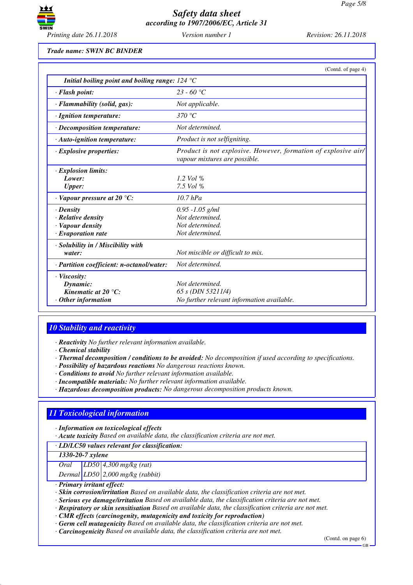

*Trade name: SWIN BC BINDER*

|                                                                                             | (Contd. of page 4)                                                                              |
|---------------------------------------------------------------------------------------------|-------------------------------------------------------------------------------------------------|
| Initial boiling point and boiling range: $124 \text{ }^{\circ}\text{C}$                     |                                                                                                 |
| · Flash point:                                                                              | $23 - 60$ °C                                                                                    |
| $\cdot$ Flammability (solid, gas):                                                          | Not applicable.                                                                                 |
| $\cdot$ Ignition temperature:                                                               | 370 °C                                                                                          |
| $\cdot$ Decomposition temperature:                                                          | Not determined.                                                                                 |
| $\cdot$ Auto-ignition temperature:                                                          | Product is not selfigniting.                                                                    |
| $\cdot$ Explosive properties:                                                               | Product is not explosive. However, formation of explosive air/<br>vapour mixtures are possible. |
| · Explosion limits:<br>Lower:<br><b>Upper:</b>                                              | 1.2 Vol $\%$<br>7.5 Vol $\%$                                                                    |
| $\cdot$ Vapour pressure at 20 °C:                                                           | $10.7$ hPa                                                                                      |
| $\cdot$ Density<br>· Relative density<br>· Vapour density<br>$\cdot$ Evaporation rate       | $0.95 - 1.05$ g/ml<br>Not determined.<br>Not determined.<br>Not determined.                     |
| · Solubility in / Miscibility with<br>water:                                                | Not miscible or difficult to mix.                                                               |
| · Partition coefficient: n-octanol/water:                                                   | Not determined.                                                                                 |
| $\cdot$ Viscosity:<br>Dynamic:<br>Kinematic at $20^{\circ}$ C:<br>$\cdot$ Other information | Not determined.<br>65 s (DIN 53211/4)<br>No further relevant information available.             |

# *10 Stability and reactivity*

*· Reactivity No further relevant information available.*

*· Chemical stability*

- *· Thermal decomposition / conditions to be avoided: No decomposition if used according to specifications.*
- *· Possibility of hazardous reactions No dangerous reactions known.*
- *· Conditions to avoid No further relevant information available.*
- *· Incompatible materials: No further relevant information available.*
- *· Hazardous decomposition products: No dangerous decomposition products known.*

# *11 Toxicological information*

- *· Information on toxicological effects*
- *· Acute toxicity Based on available data, the classification criteria are not met.*

### *· LD/LC50 values relevant for classification:*

*1330-20-7 xylene*

*Oral LD50 4,300 mg/kg (rat)*

*Dermal LD50 2,000 mg/kg (rabbit)*

*· Primary irritant effect:*

*· Skin corrosion/irritation Based on available data, the classification criteria are not met.*

- *· Serious eye damage/irritation Based on available data, the classification criteria are not met.*
- *· Respiratory or skin sensitisation Based on available data, the classification criteria are not met.*
- *· CMR effects (carcinogenity, mutagenicity and toxicity for reproduction)*
- *· Germ cell mutagenicity Based on available data, the classification criteria are not met.*
- *· Carcinogenicity Based on available data, the classification criteria are not met.*

(Contd. on page 6)

GB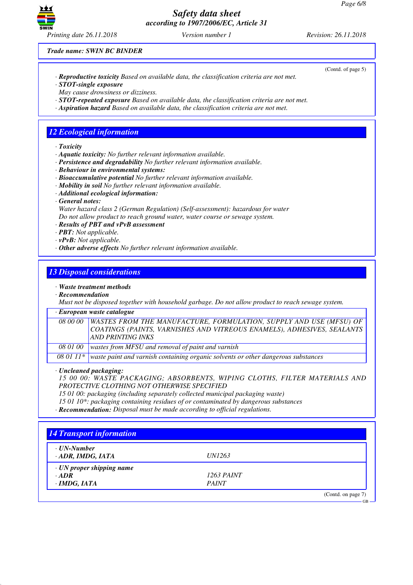

(Contd. of page 5)

GB

*Trade name: SWIN BC BINDER*

- *· Reproductive toxicity Based on available data, the classification criteria are not met. · STOT-single exposure*
- *May cause drowsiness or dizziness.*
- *· STOT-repeated exposure Based on available data, the classification criteria are not met.*
- *· Aspiration hazard Based on available data, the classification criteria are not met.*

# *12 Ecological information*

- *· Toxicity*
- *· Aquatic toxicity: No further relevant information available.*
- *· Persistence and degradability No further relevant information available.*
- *· Behaviour in environmental systems:*
- *· Bioaccumulative potential No further relevant information available.*
- *· Mobility in soil No further relevant information available.*
- *· Additional ecological information:*
- *· General notes:*

*Water hazard class 2 (German Regulation) (Self-assessment): hazardous for water Do not allow product to reach ground water, water course or sewage system.*

- *· Results of PBT and vPvB assessment*
- *· PBT: Not applicable.*
- *· vPvB: Not applicable.*
- *· Other adverse effects No further relevant information available.*

## *13 Disposal considerations*

#### *· Waste treatment methods*

*· Recommendation*

*Must not be disposed together with household garbage. Do not allow product to reach sewage system.*

### *· European waste catalogue*

| 08 00 00   WASTES FROM THE MANUFACTURE, FORMULATION, SUPPLY AND USE (MFSU) OF |
|-------------------------------------------------------------------------------|
| COATINGS (PAINTS, VARNISHES AND VITREOUS ENAMELS), ADHESIVES, SEALANTS        |
| AND PRINTING INKS                                                             |
| 08 01 00   wastes from MFSU and removal of paint and varnish                  |

*08 01 11\* waste paint and varnish containing organic solvents or other dangerous substances*

*· Uncleaned packaging:*

*15 00 00: WASTE PACKAGING; ABSORBENTS, WIPING CLOTHS, FILTER MATERIALS AND PROTECTIVE CLOTHING NOT OTHERWISE SPECIFIED*

*15 01 00: packaging (including separately collected municipal packaging waste)*

*15 01 10\*: packaging containing residues of or contaminated by dangerous substances*

*· Recommendation: Disposal must be made according to official regulations.*

| · UN-Number                     |               |  |
|---------------------------------|---------------|--|
| · ADR, IMDG, IATA               | <i>UN1263</i> |  |
| $\cdot$ UN proper shipping name |               |  |
| $\cdot$ ADR                     | 1263 PAINT    |  |
| $\cdot$ IMDG, IATA              | <b>PAINT</b>  |  |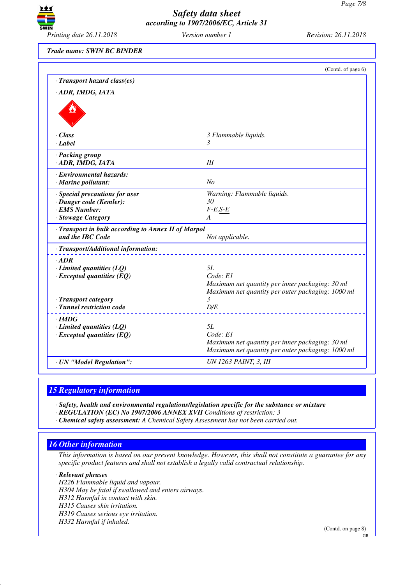

*Printing date 26.11.2018 Version number 1 Revision: 26.11.2018*

*Trade name: SWIN BC BINDER*

|                                                     | (Contd. of page 6)                                                                                   |
|-----------------------------------------------------|------------------------------------------------------------------------------------------------------|
| · Transport hazard class(es)                        |                                                                                                      |
| · ADR, IMDG, IATA                                   |                                                                                                      |
|                                                     |                                                                                                      |
|                                                     |                                                                                                      |
|                                                     |                                                                                                      |
| · Class                                             | 3 Flammable liquids.                                                                                 |
| · Label                                             | 3                                                                                                    |
| · Packing group                                     | $I\!I\!I$                                                                                            |
| · ADR, IMDG, IATA                                   |                                                                                                      |
| · Environmental hazards:                            | No                                                                                                   |
| $\cdot$ Marine pollutant:                           |                                                                                                      |
| · Special precautions for user                      | Warning: Flammable liquids.<br>30                                                                    |
| · Danger code (Kemler):<br>· EMS Number:            | $F-E,S-E$                                                                                            |
| · Stowage Category                                  | A                                                                                                    |
| · Transport in bulk according to Annex II of Marpol |                                                                                                      |
| and the IBC Code                                    | Not applicable.                                                                                      |
| · Transport/Additional information:                 |                                                                                                      |
| $·$ <i>ADR</i>                                      |                                                                                                      |
| $\cdot$ Limited quantities (LQ)                     | 5L                                                                                                   |
| $\cdot$ Excepted quantities (EQ)                    | Code: E1<br>Maximum net quantity per inner packaging: 30 ml                                          |
|                                                     | Maximum net quantity per outer packaging: 1000 ml                                                    |
| · Transport category                                | 3                                                                                                    |
| · Tunnel restriction code                           | D/E                                                                                                  |
| $\cdot$ IMDG                                        |                                                                                                      |
| $\cdot$ Limited quantities (LQ)                     | 5L                                                                                                   |
| $\cdot$ Excepted quantities (EQ)                    | Code: E1                                                                                             |
|                                                     | Maximum net quantity per inner packaging: 30 ml<br>Maximum net quantity per outer packaging: 1000 ml |
| · UN "Model Regulation":                            | UN 1263 PAINT, 3, III                                                                                |
|                                                     |                                                                                                      |

### *15 Regulatory information*

*· Safety, health and environmental regulations/legislation specific for the substance or mixture*

*· REGULATION (EC) No 1907/2006 ANNEX XVII Conditions of restriction: 3*

*· Chemical safety assessment: A Chemical Safety Assessment has not been carried out.*

### *16 Other information*

*This information is based on our present knowledge. However, this shall not constitute a guarantee for any specific product features and shall not establish a legally valid contractual relationship.*

*· Relevant phrases*

*H226 Flammable liquid and vapour. H304 May be fatal if swallowed and enters airways. H312 Harmful in contact with skin. H315 Causes skin irritation. H319 Causes serious eye irritation. H332 Harmful if inhaled.*

(Contd. on page 8)

GB